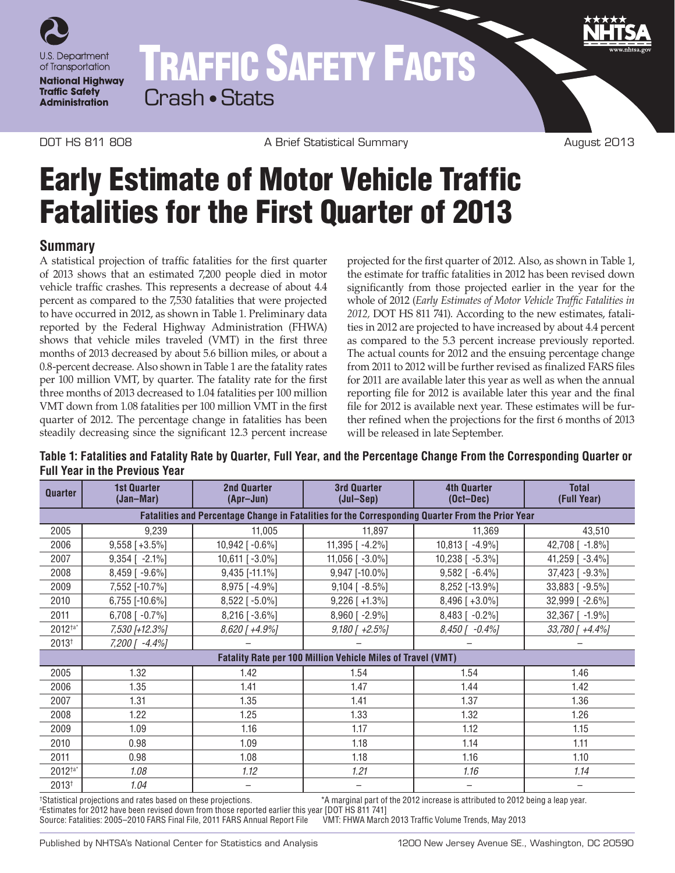

# TRAFFIC SAFETY FACTS Crash • Stats

DOT HS 811 808 A Brief Statistical Summary August 2013

# Early Estimate of Motor Vehicle Traffic Fatalities for the First Quarter of 2013

### **Summary**

A statistical projection of traffic fatalities for the first quarter of 2013 shows that an estimated 7,200 people died in motor vehicle traffic crashes. This represents a decrease of about 4.4 percent as compared to the 7,530 fatalities that were projected to have occurred in 2012, as shown in Table 1. Preliminary data reported by the Federal Highway Administration (FHWA) shows that vehicle miles traveled (VMT) in the first three months of 2013 decreased by about 5.6 billion miles, or about a 0.8-percent decrease. Also shown in Table 1 are the fatality rates per 100 million VMT, by quarter. The fatality rate for the first three months of 2013 decreased to 1.04 fatalities per 100 million VMT down from 1.08 fatalities per 100 million VMT in the first quarter of 2012. The percentage change in fatalities has been steadily decreasing since the significant 12.3 percent increase

projected for the first quarter of 2012. Also, as shown in Table 1, the estimate for traffic fatalities in 2012 has been revised down significantly from those projected earlier in the year for the whole of 2012 (*Early Estimates of Motor Vehicle Traffic Fatalities in 2012,* DOT HS 811 741). According to the new estimates, fatalities in 2012 are projected to have increased by about 4.4 percent as compared to the 5.3 percent increase previously reported. The actual counts for 2012 and the ensuing percentage change from 2011 to 2012 will be further revised as finalized FARS files for 2011 are available later this year as well as when the annual reporting file for 2012 is available later this year and the final file for 2012 is available next year. These estimates will be further refined when the projections for the first 6 months of 2013 will be released in late September.

**Table 1: Fatalities and Fatality Rate by Quarter, Full Year, and the Percentage Change From the Corresponding Quarter or Full Year in the Previous Year**

| Quarter                                                                                          | <b>1st Quarter</b><br>(Jan-Mar) | <b>2nd Quarter</b><br>(Apr-Jun) | <b>3rd Quarter</b><br>(Jul-Sep) | <b>4th Quarter</b><br>$(Oct-Dec)$ | <b>Total</b><br>(Full Year) |
|--------------------------------------------------------------------------------------------------|---------------------------------|---------------------------------|---------------------------------|-----------------------------------|-----------------------------|
| Fatalities and Percentage Change in Fatalities for the Corresponding Quarter From the Prior Year |                                 |                                 |                                 |                                   |                             |
| 2005                                                                                             | 9,239                           | 11,005                          | 11,897                          | 11,369                            | 43,510                      |
| 2006                                                                                             | $9,558$ [+3.5%]                 | $10,942$ [ -0.6%]               | 11,395 $[-4.2\%]$               | $10,813$ [ $-4.9\%$ ]             | 42,708 [ $-1.8\%$ ]         |
| 2007                                                                                             | $9,354$ [ -2.1%]                | 10,611 [-3.0%]                  | 11,056 $[-3.0\%]$               | 10,238 [ -5.3%]                   | 41,259 [ -3.4%]             |
| 2008                                                                                             | $8,459$ [ -9.6%]                | 9,435 [-11.1%]                  | 9,947 [-10.0%]                  | $9,582$ [ $-6.4\%$ ]              | 37,423 [ -9.3%]             |
| 2009                                                                                             | 7,552 [-10.7%]                  | 8,975 [-4.9%]                   | $9,104$ [ -8.5%]                | 8,252 [-13.9%]                    | 33,883 [ -9.5%]             |
| 2010                                                                                             | 6,755 [-10.6%]                  | $8,522$ [ -5.0%]                | $9,226$ [ +1.3%]                | 8,496 [+3.0%]                     | 32,999 [ -2.6%]             |
| 2011                                                                                             | $6,708$ [ -0.7%]                | 8,216 [-3.6%]                   | 8,960 [ -2.9%]                  | 8,483 [ -0.2%]                    | 32,367 [ -1.9%]             |
| 2012 <sup>ta*</sup>                                                                              | 7,530 [+12.3%]                  | 8,620 [+4.9%]                   | $9,180$ [ $+2.5\%$ ]            | $8,450$ [ $-0.4%$ ]               | 33,780 [ +4.4%]             |
| 2013 <sup>+</sup>                                                                                | 7,200 [ -4.4%]                  |                                 |                                 |                                   |                             |
| <b>Fatality Rate per 100 Million Vehicle Miles of Travel (VMT)</b>                               |                                 |                                 |                                 |                                   |                             |
| 2005                                                                                             | 1.32                            | 1.42                            | 1.54                            | 1.54                              | 1.46                        |
| 2006                                                                                             | 1.35                            | 1.41                            | 1.47                            | 1.44                              | 1.42                        |
| 2007                                                                                             | 1.31                            | 1.35                            | 1.41                            | 1.37                              | 1.36                        |
| 2008                                                                                             | 1.22                            | 1.25                            | 1.33                            | 1.32                              | 1.26                        |
| 2009                                                                                             | 1.09                            | 1.16                            | 1.17                            | 1.12                              | 1.15                        |
| 2010                                                                                             | 0.98                            | 1.09                            | 1.18                            | 1.14                              | 1.11                        |
| 2011                                                                                             | 0.98                            | 1.08                            | 1.18                            | 1.16                              | 1.10                        |
| 2012 <sup>ta*</sup>                                                                              | 1.08                            | 1.12                            | 1.21                            | 1.16                              | 1.14                        |
| 2013 <sup>+</sup>                                                                                | 1.04                            | —                               |                                 |                                   |                             |

<sup>†</sup>Statistical projections and rates based on these projections. \*A marginal part of the 2012 increase is attributed to 2012 being a leap year.

a Estimates for 2012 have been revised down from those reported earlier this year [DOT HS 811 741] Source: Fatalities: 2005–2010 FARS Final File, 2011 FARS Annual Report File VMT: FHWA March 2013 Traffic Volume Trends, May 2013